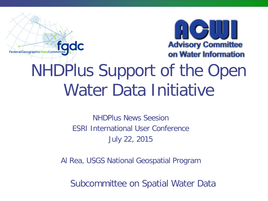

# NHDPlus Support of the Open Water Data Initiative

fadc

FederalGeographicDataCommittee

NHDPlus News Seesion ESRI International User Conference July 22, 2015

Al Rea, USGS National Geospatial Program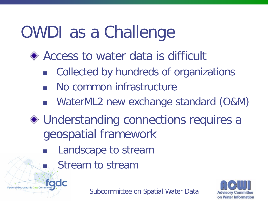# OWDI as a Challenge

- ◆ Access to water data is difficult
	- Collected by hundreds of organizations
	- No common infrastructure
	- WaterML2 new exchange standard (O&M)
- ◆ Understanding connections requires a geospatial framework
	- Landscape to stream
		- Stream to stream

FederalGeographic DataCommittee CC

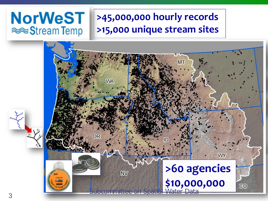### **NorWeST** <sup>■</sup> Stream Temp

### **>45,000,000 hourly records >15,000 unique stream sites**

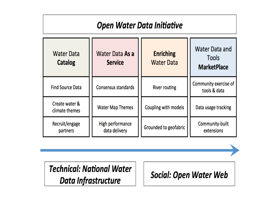### **Open Water Data Initiative**

| <b>Water Data</b><br>Catalog     | Water Data As a<br><b>Service</b> | <b>Enriching</b><br><b>Water Data</b> | <b>Water Data and</b><br><b>Tools</b><br><b>MarketPlace</b> |
|----------------------------------|-----------------------------------|---------------------------------------|-------------------------------------------------------------|
| <b>Find Source Data</b>          | Consensus standards               | <b>River routing</b>                  | Community exercise of<br>tools & data                       |
| Create water &<br>climate themes | <b>Water Map Themes</b>           | Coupling with models                  | Data usage tracking                                         |
| Recruit/engage<br>partners       | High performance<br>data delivery | Grounded to geofabric                 | Community-built<br>extensions                               |

**Technical: National Water** Data Infrastructure

**Social: Open Water Web**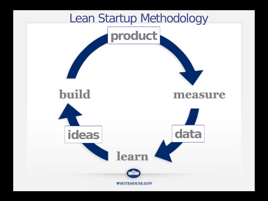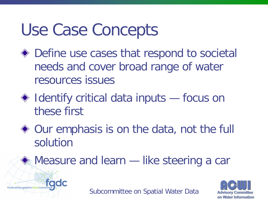# Use Case Concepts

fadc

FederalGeographicDataCommittee

- Define use cases that respond to societal needs and cover broad range of water resources issues
- ◆ Identify critical data inputs focus on these first
- ◆ Our emphasis is on the data, not the full solution

**♦ Measure and learn — like steering a car** 



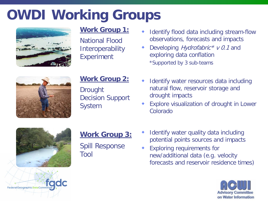## **OWDI Working Groups**



### **Work Group 1:**

National Flood **Interoperability** Experiment

### **Work Group 2:**

Drought Decision Support System

- Identify flood data including stream-flow observations, forecasts and impacts
- Developing *Hydrofabric* \* v 0.1 and exploring data conflation \*Supported by 3 sub-teams
- Identify water resources data including natural flow, reservoir storage and drought impacts
- Explore visualization of drought in Lower Colorado



FederalGeographicDataCommitte

### **Work Group 3:**

Spill Response Tool

- Identify water quality data including potential points sources and impacts
- Exploring requirements for new/additional data (e.g. velocity forecasts and reservoir residence times)

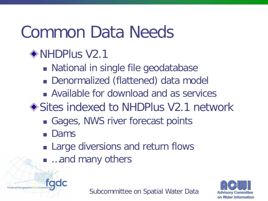# Common Data Needs

### NHDPlus V2.1

- National in single file geodatabase
- Denormalized (flattened) data model
- Available for download and as services
- ◆ Sites indexed to NHDPlus V2.1 network
	- Gages, NWS river forecast points
	- **Dams**
	- **Example 2** Large diversions and return flows
	- …and many others



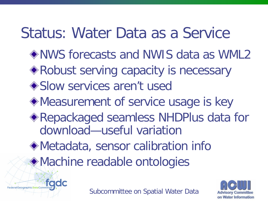## Status: Water Data as a Service

- NWS forecasts and NWIS data as WML2
- ◆ Robust serving capacity is necessary
- ◆ Slow services aren't used
- Measurement of service usage is key
- Repackaged seamless NHDPlus data for download—useful variation
- Metadata, sensor calibration info
- Machine readable ontologies



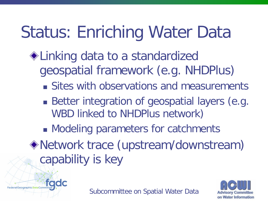# Status: Enriching Water Data

- ◆ Linking data to a standardized geospatial framework (e.g. NHDPlus)
	- **Sites with observations and measurements**
	- Better integration of geospatial layers (e.g. WBD linked to NHDPlus network)
	- **Modeling parameters for catchments**
- Network trace (upstream/downstream) capability is key



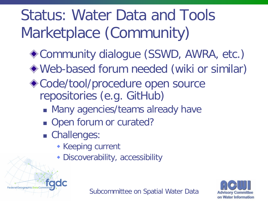# Status: Water Data and Tools Marketplace (Community)

- ◆ Community dialogue (SSWD, AWRA, etc.)
- Web-based forum needed (wiki or similar)
- ◆ Code/tool/procedure open source repositories (e.g. GitHub)
	- **Many agencies/teams already have**
	- Open forum or curated?
	- Challenges:
		- **Keeping current**
		- Discoverability, accessibility



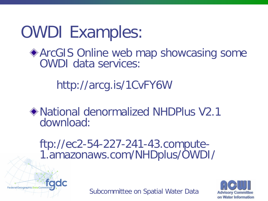# OWDI Examples:

### ◆ ArcGIS Online web map showcasing some OWDI data services:

http://arcg.is/1CvFY6W

National denormalized NHDPlus V2.1 download:

ftp://ec2-54-227-241-43.compute- 1.amazonaws.com/NHDplus/OWDI/



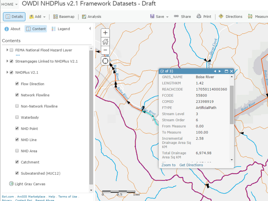#### HOME - OWDI NHDPlus v2.1 Framework Datasets - Draft

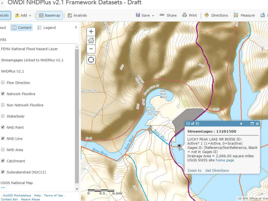#### → OWDI NHDPlus v2.1 Framework Datasets - Draft

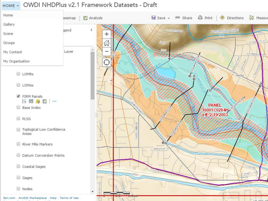#### HOME - OWDI NHDPlus v2.1 Framework Datasets - Draft